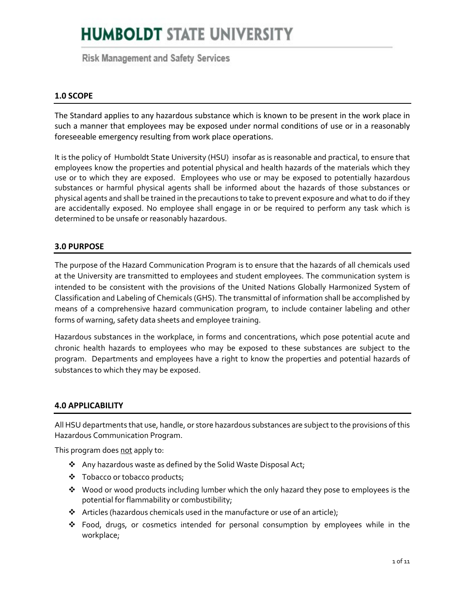# **HUMBOLDT STATE UNIVERSITY**

**Risk Management and Safety Services** 

# **1.0 SCOPE**

The Standard applies to any hazardous substance which is known to be present in the work place in such a manner that employees may be exposed under normal conditions of use or in a reasonably foreseeable emergency resulting from work place operations.

It is the policy of Humboldt State University (HSU) insofar as is reasonable and practical, to ensure that employees know the properties and potential physical and health hazards of the materials which they use or to which they are exposed. Employees who use or may be exposed to potentially hazardous substances or harmful physical agents shall be informed about the hazards of those substances or physical agents and shall be trained in the precautions to take to prevent exposure and what to do if they are accidentally exposed. No employee shall engage in or be required to perform any task which is determined to be unsafe or reasonably hazardous.

#### **3.0 PURPOSE**

The purpose of the Hazard Communication Program is to ensure that the hazards of all chemicals used at the University are transmitted to employees and student employees. The communication system is intended to be consistent with the provisions of the United Nations Globally Harmonized System of Classification and Labeling of Chemicals (GHS). The transmittal of information shall be accomplished by means of a comprehensive hazard communication program, to include container labeling and other forms of warning, safety data sheets and employee training.

Hazardous substances in the workplace, in forms and concentrations, which pose potential acute and chronic health hazards to employees who may be exposed to these substances are subject to the program. Departments and employees have a right to know the properties and potential hazards of substances to which they may be exposed.

# **4.0 APPLICABILITY**

All HSU departments that use, handle, or store hazardous substances are subject to the provisions of this Hazardous Communication Program.

This program does not apply to:

- Any hazardous waste as defined by the Solid Waste Disposal Act;
- Tobacco or tobacco products;
- \* Wood or wood products including lumber which the only hazard they pose to employees is the potential for flammability or combustibility;
- $\triangleleft$  Articles (hazardous chemicals used in the manufacture or use of an article);
- Food, drugs, or cosmetics intended for personal consumption by employees while in the workplace;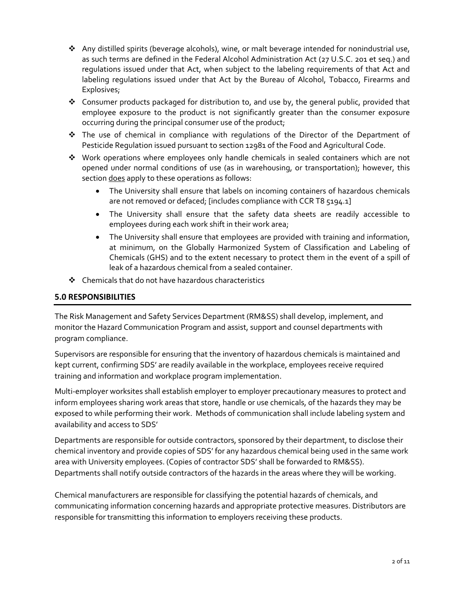- Any distilled spirits (beverage alcohols), wine, or malt beverage intended for nonindustrial use, as such terms are defined in the Federal Alcohol Administration Act (27 U.S.C. 201 et seq.) and regulations issued under that Act, when subject to the labeling requirements of that Act and labeling regulations issued under that Act by the Bureau of Alcohol, Tobacco, Firearms and Explosives;
- Consumer products packaged for distribution to, and use by, the general public, provided that employee exposure to the product is not significantly greater than the consumer exposure occurring during the principal consumer use of the product;
- The use of chemical in compliance with regulations of the Director of the Department of Pesticide Regulation issued pursuant to section 12981 of the Food and Agricultural Code.
- Work operations where employees only handle chemicals in sealed containers which are not opened under normal conditions of use (as in warehousing, or transportation); however, this section does apply to these operations as follows:
	- The University shall ensure that labels on incoming containers of hazardous chemicals are not removed or defaced; [includes compliance with CCR T8 5194.1]
	- The University shall ensure that the safety data sheets are readily accessible to employees during each work shift in their work area;
	- The University shall ensure that employees are provided with training and information, at minimum, on the Globally Harmonized System of Classification and Labeling of Chemicals (GHS) and to the extent necessary to protect them in the event of a spill of leak of a hazardous chemical from a sealed container.
- Chemicals that do not have hazardous characteristics

### **5.0 RESPONSIBILITIES**

The Risk Management and Safety Services Department (RM&SS) shall develop, implement, and monitor the Hazard Communication Program and assist, support and counsel departments with program compliance.

Supervisors are responsible for ensuring that the inventory of hazardous chemicals is maintained and kept current, confirming SDS' are readily available in the workplace, employees receive required training and information and workplace program implementation.

Multi-employer worksites shall establish employer to employer precautionary measures to protect and inform employees sharing work areas that store, handle or use chemicals, of the hazards they may be exposed to while performing their work. Methods of communication shall include labeling system and availability and access to SDS'

Departments are responsible for outside contractors, sponsored by their department, to disclose their chemical inventory and provide copies of SDS' for any hazardous chemical being used in the same work area with University employees. (Copies of contractor SDS' shall be forwarded to RM&SS). Departments shall notify outside contractors of the hazards in the areas where they will be working.

Chemical manufacturers are responsible for classifying the potential hazards of chemicals, and communicating information concerning hazards and appropriate protective measures. Distributors are responsible for transmitting this information to employers receiving these products.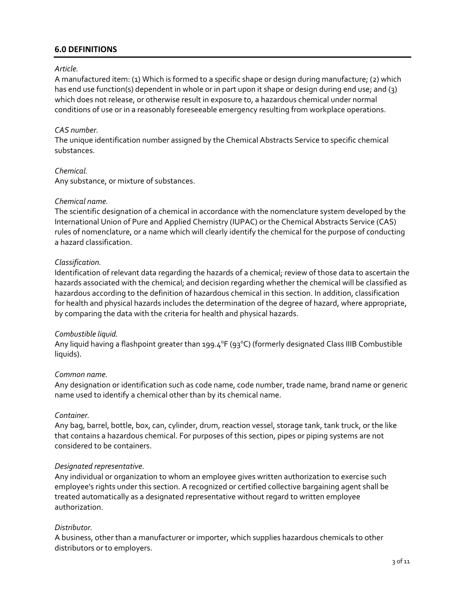# **6.0 DEFINITIONS**

#### *Article.*

A manufactured item: (1) Which is formed to a specific shape or design during manufacture; (2) which has end use function(s) dependent in whole or in part upon it shape or design during end use; and (3) which does not release, or otherwise result in exposure to, a hazardous chemical under normal conditions of use or in a reasonably foreseeable emergency resulting from workplace operations.

#### *CAS number.*

The unique identification number assigned by the Chemical Abstracts Service to specific chemical substances.

#### *Chemical.*

Any substance, or mixture of substances.

#### *Chemical name.*

The scientific designation of a chemical in accordance with the nomenclature system developed by the International Union of Pure and Applied Chemistry (IUPAC) or the Chemical Abstracts Service (CAS) rules of nomenclature, or a name which will clearly identify the chemical for the purpose of conducting a hazard classification.

#### *Classification.*

Identification of relevant data regarding the hazards of a chemical; review of those data to ascertain the hazards associated with the chemical; and decision regarding whether the chemical will be classified as hazardous according to the definition of hazardous chemical in this section. In addition, classification for health and physical hazards includes the determination of the degree of hazard, where appropriate, by comparing the data with the criteria for health and physical hazards.

#### *Combustible liquid.*

Any liquid having a flashpoint greater than 199.4°F (93°C) (formerly designated Class IIIB Combustible liquids).

#### *Common name.*

Any designation or identification such as code name, code number, trade name, brand name or generic name used to identify a chemical other than by its chemical name.

#### *Container.*

Any bag, barrel, bottle, box, can, cylinder, drum, reaction vessel, storage tank, tank truck, or the like that contains a hazardous chemical. For purposes of this section, pipes or piping systems are not considered to be containers.

#### *Designated representative.*

Any individual or organization to whom an employee gives written authorization to exercise such employee's rights under this section. A recognized or certified collective bargaining agent shall be treated automatically as a designated representative without regard to written employee authorization.

#### *Distributor.*

A business, other than a manufacturer or importer, which supplies hazardous chemicals to other distributors or to employers.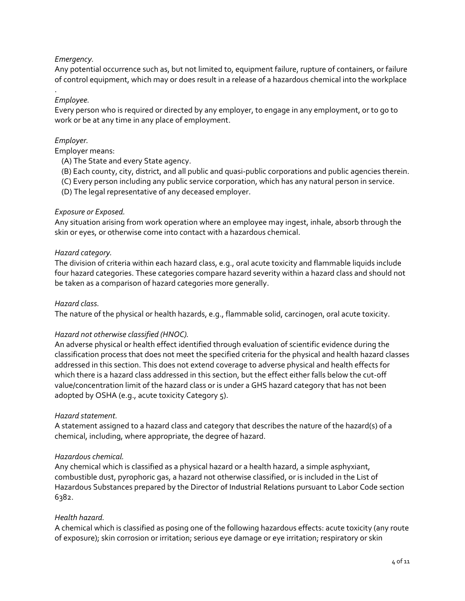### *Emergency.*

Any potential occurrence such as, but not limited to, equipment failure, rupture of containers, or failure of control equipment, which may or does result in a release of a hazardous chemical into the workplace

#### *Employee.*

.

Every person who is required or directed by any employer, to engage in any employment, or to go to work or be at any time in any place of employment.

#### *Employer.*

#### Employer means:

- (A) The State and every State agency.
- (B) Each county, city, district, and all public and quasi-public corporations and public agencies therein.
- (C) Every person including any public service corporation, which has any natural person in service.
- (D) The legal representative of any deceased employer.

#### *Exposure or Exposed.*

Any situation arising from work operation where an employee may ingest, inhale, absorb through the skin or eyes, or otherwise come into contact with a hazardous chemical.

#### *Hazard category.*

The division of criteria within each hazard class, e.g., oral acute toxicity and flammable liquids include four hazard categories. These categories compare hazard severity within a hazard class and should not be taken as a comparison of hazard categories more generally.

#### *Hazard class.*

The nature of the physical or health hazards, e.g., flammable solid, carcinogen, oral acute toxicity.

#### *Hazard not otherwise classified (HNOC).*

An adverse physical or health effect identified through evaluation of scientific evidence during the classification process that does not meet the specified criteria for the physical and health hazard classes addressed in this section. This does not extend coverage to adverse physical and health effects for which there is a hazard class addressed in this section, but the effect either falls below the cut-off value/concentration limit of the hazard class or is under a GHS hazard category that has not been adopted by OSHA (e.g., acute toxicity Category 5).

#### *Hazard statement.*

A statement assigned to a hazard class and category that describes the nature of the hazard(s) of a chemical, including, where appropriate, the degree of hazard.

#### *Hazardous chemical.*

Any chemical which is classified as a physical hazard or a health hazard, a simple asphyxiant, combustible dust, pyrophoric gas, a hazard not otherwise classified, or is included in the List of Hazardous Substances prepared by the Director of Industrial Relations pursuant to Labor Code section 6382.

#### *Health hazard.*

A chemical which is classified as posing one of the following hazardous effects: acute toxicity (any route of exposure); skin corrosion or irritation; serious eye damage or eye irritation; respiratory or skin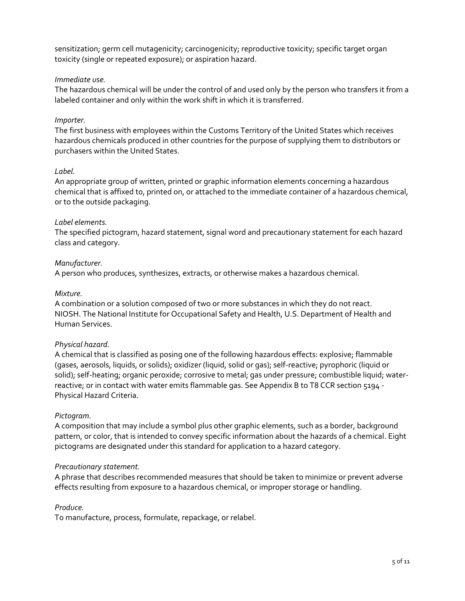sensitization; germ cell mutagenicity; carcinogenicity; reproductive toxicity; specific target organ toxicity (single or repeated exposure); or aspiration hazard.

#### *Immediate use.*

The hazardous chemical will be under the control of and used only by the person who transfers it from a labeled container and only within the work shift in which it is transferred.

#### *Importer.*

The first business with employees within the Customs Territory of the United States which receives hazardous chemicals produced in other countries for the purpose of supplying them to distributors or purchasers within the United States.

#### *Label.*

An appropriate group of written, printed or graphic information elements concerning a hazardous chemical that is affixed to, printed on, or attached to the immediate container of a hazardous chemical, or to the outside packaging.

#### *Label elements.*

The specified pictogram, hazard statement, signal word and precautionary statement for each hazard class and category.

#### *Manufacturer.*

A person who produces, synthesizes, extracts, or otherwise makes a hazardous chemical.

#### *Mixture.*

A combination or a solution composed of two or more substances in which they do not react. NIOSH. The National Institute for Occupational Safety and Health, U.S. Department of Health and Human Services.

# *Physical hazard.*

A chemical that is classified as posing one of the following hazardous effects: explosive; flammable (gases, aerosols, liquids, or solids); oxidizer (liquid, solid or gas); self-reactive; pyrophoric (liquid or solid); self-heating; organic peroxide; corrosive to metal; gas under pressure; combustible liquid; waterreactive; or in contact with water emits flammable gas. See Appendix B to T8 CCR section 5194 - Physical Hazard Criteria.

# *Pictogram.*

A composition that may include a symbol plus other graphic elements, such as a border, background pattern, or color, that is intended to convey specific information about the hazards of a chemical. Eight pictograms are designated under this standard for application to a hazard category.

#### *Precautionary statement.*

A phrase that describes recommended measures that should be taken to minimize or prevent adverse effects resulting from exposure to a hazardous chemical, or improper storage or handling.

# *Produce.*

To manufacture, process, formulate, repackage, or relabel.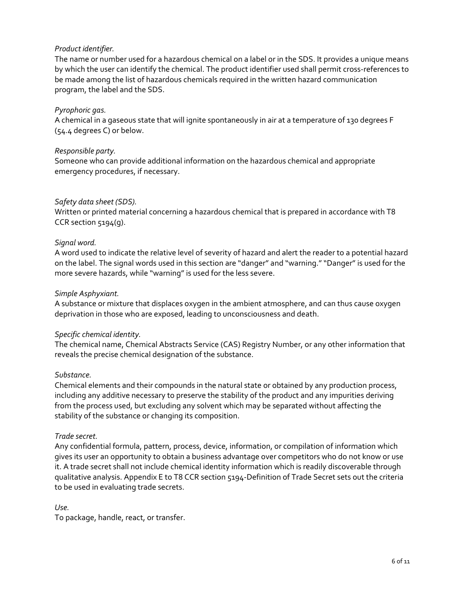### *Product identifier.*

The name or number used for a hazardous chemical on a label or in the SDS. It provides a unique means by which the user can identify the chemical. The product identifier used shall permit cross-references to be made among the list of hazardous chemicals required in the written hazard communication program, the label and the SDS.

#### *Pyrophoric gas.*

A chemical in a gaseous state that will ignite spontaneously in air at a temperature of 130 degrees F (54.4 degrees C) or below.

#### *Responsible party.*

Someone who can provide additional information on the hazardous chemical and appropriate emergency procedures, if necessary.

#### *Safety data sheet (SDS).*

Written or printed material concerning a hazardous chemical that is prepared in accordance with T8 CCR section  $5194(q)$ .

#### *Signal word.*

A word used to indicate the relative level of severity of hazard and alert the reader to a potential hazard on the label. The signal words used in this section are "danger" and "warning." "Danger" is used for the more severe hazards, while "warning" is used for the less severe.

#### *Simple Asphyxiant.*

A substance or mixture that displaces oxygen in the ambient atmosphere, and can thus cause oxygen deprivation in those who are exposed, leading to unconsciousness and death.

# *Specific chemical identity.*

The chemical name, Chemical Abstracts Service (CAS) Registry Number, or any other information that reveals the precise chemical designation of the substance.

# *Substance.*

Chemical elements and their compounds in the natural state or obtained by any production process, including any additive necessary to preserve the stability of the product and any impurities deriving from the process used, but excluding any solvent which may be separated without affecting the stability of the substance or changing its composition.

#### *Trade secret.*

Any confidential formula, pattern, process, device, information, or compilation of information which gives its user an opportunity to obtain a business advantage over competitors who do not know or use it. A trade secret shall not include chemical identity information which is readily discoverable through qualitative analysis. Appendix E to T8 CCR section 5194-Definition of Trade Secret sets out the criteria to be used in evaluating trade secrets.

#### *Use.*

To package, handle, react, or transfer.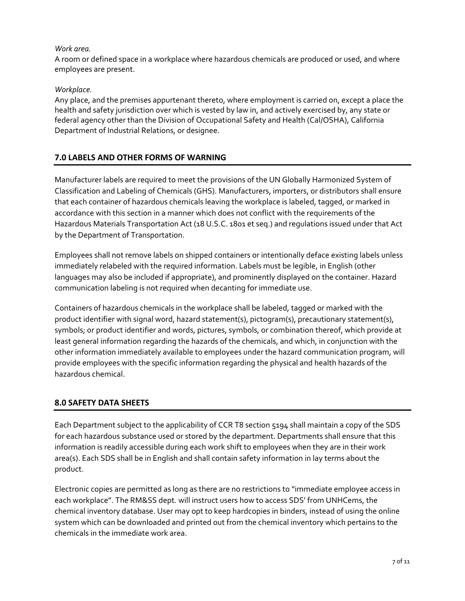# *Work area.*

A room or defined space in a workplace where hazardous chemicals are produced or used, and where employees are present.

# *Workplace.*

Any place, and the premises appurtenant thereto, where employment is carried on, except a place the health and safety jurisdiction over which is vested by law in, and actively exercised by, any state or federal agency other than the Division of Occupational Safety and Health (Cal/OSHA), California Department of Industrial Relations, or designee.

# **7.0 LABELS AND OTHER FORMS OF WARNING**

Manufacturer labels are required to meet the provisions of the UN Globally Harmonized System of Classification and Labeling of Chemicals (GHS). Manufacturers, importers, or distributors shall ensure that each container of hazardous chemicals leaving the workplace is labeled, tagged, or marked in accordance with this section in a manner which does not conflict with the requirements of the Hazardous Materials Transportation Act (18 U.S.C. 1801 et seq.) and regulations issued under that Act by the Department of Transportation.

Employees shall not remove labels on shipped containers or intentionally deface existing labels unless immediately relabeled with the required information. Labels must be legible, in English (other languages may also be included if appropriate), and prominently displayed on the container. Hazard communication labeling is not required when decanting for immediate use.

Containers of hazardous chemicals in the workplace shall be labeled, tagged or marked with the product identifier with signal word, hazard statement(s), pictogram(s), precautionary statement(s), symbols; or product identifier and words, pictures, symbols, or combination thereof, which provide at least general information regarding the hazards of the chemicals, and which, in conjunction with the other information immediately available to employees under the hazard communication program, will provide employees with the specific information regarding the physical and health hazards of the hazardous chemical.

# **8.0 SAFETY DATA SHEETS**

Each Department subject to the applicability of CCR T8 section 5194 shall maintain a copy of the SDS for each hazardous substance used or stored by the department. Departments shall ensure that this information is readily accessible during each work shift to employees when they are in their work area(s). Each SDS shall be in English and shall contain safety information in lay terms about the product.

Electronic copies are permitted as long as there are no restrictions to "immediate employee access in each workplace". The RM&SS dept. will instruct users how to access SDS' from UNHCems, the chemical inventory database. User may opt to keep hardcopies in binders, instead of using the online system which can be downloaded and printed out from the chemical inventory which pertains to the chemicals in the immediate work area.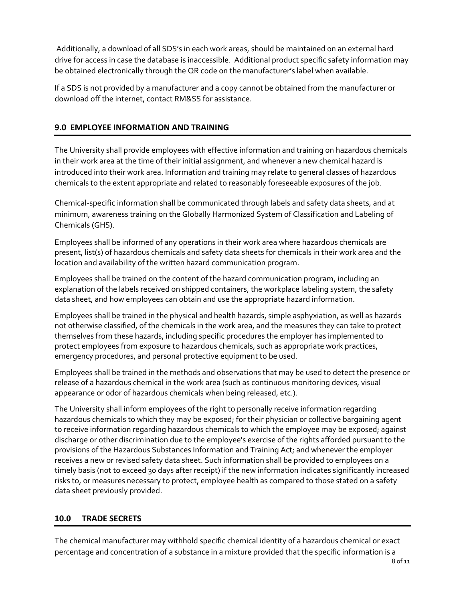Additionally, a download of all SDS's in each work areas, should be maintained on an external hard drive for access in case the database is inaccessible. Additional product specific safety information may be obtained electronically through the QR code on the manufacturer's label when available.

If a SDS is not provided by a manufacturer and a copy cannot be obtained from the manufacturer or download off the internet, contact RM&SS for assistance.

# **9.0 EMPLOYEE INFORMATION AND TRAINING**

The University shall provide employees with effective information and training on hazardous chemicals in their work area at the time of their initial assignment, and whenever a new chemical hazard is introduced into their work area. Information and training may relate to general classes of hazardous chemicals to the extent appropriate and related to reasonably foreseeable exposures of the job.

Chemical-specific information shall be communicated through labels and safety data sheets, and at minimum, awareness training on the Globally Harmonized System of Classification and Labeling of Chemicals (GHS).

Employees shall be informed of any operations in their work area where hazardous chemicals are present, list(s) of hazardous chemicals and safety data sheets for chemicals in their work area and the location and availability of the written hazard communication program.

Employees shall be trained on the content of the hazard communication program, including an explanation of the labels received on shipped containers, the workplace labeling system, the safety data sheet, and how employees can obtain and use the appropriate hazard information.

Employees shall be trained in the physical and health hazards, simple asphyxiation, as well as hazards not otherwise classified, of the chemicals in the work area, and the measures they can take to protect themselves from these hazards, including specific procedures the employer has implemented to protect employees from exposure to hazardous chemicals, such as appropriate work practices, emergency procedures, and personal protective equipment to be used.

Employees shall be trained in the methods and observations that may be used to detect the presence or release of a hazardous chemical in the work area (such as continuous monitoring devices, visual appearance or odor of hazardous chemicals when being released, etc.).

The University shall inform employees of the right to personally receive information regarding hazardous chemicals to which they may be exposed; for their physician or collective bargaining agent to receive information regarding hazardous chemicals to which the employee may be exposed; against discharge or other discrimination due to the employee's exercise of the rights afforded pursuant to the provisions of the Hazardous Substances Information and Training Act; and whenever the employer receives a new or revised safety data sheet. Such information shall be provided to employees on a timely basis (not to exceed 30 days after receipt) if the new information indicates significantly increased risks to, or measures necessary to protect, employee health as compared to those stated on a safety data sheet previously provided.

# **10.0 TRADE SECRETS**

The chemical manufacturer may withhold specific chemical identity of a hazardous chemical or exact percentage and concentration of a substance in a mixture provided that the specific information is a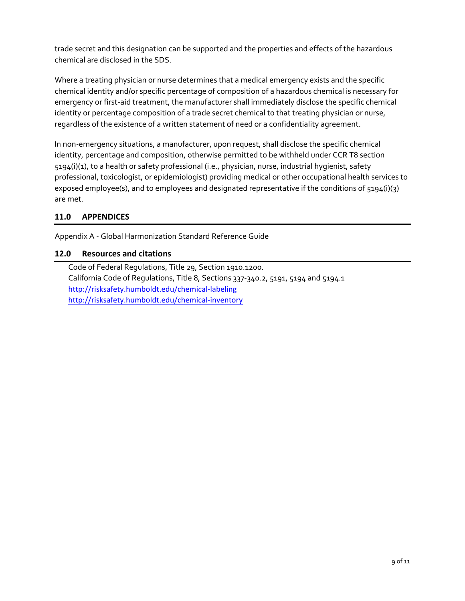trade secret and this designation can be supported and the properties and effects of the hazardous chemical are disclosed in the SDS.

Where a treating physician or nurse determines that a medical emergency exists and the specific chemical identity and/or specific percentage of composition of a hazardous chemical is necessary for emergency or first-aid treatment, the manufacturer shall immediately disclose the specific chemical identity or percentage composition of a trade secret chemical to that treating physician or nurse, regardless of the existence of a written statement of need or a confidentiality agreement.

In non-emergency situations, a manufacturer, upon request, shall disclose the specific chemical identity, percentage and composition, otherwise permitted to be withheld under CCR T8 section 5194(i)(1), to a health or safety professional (i.e., physician, nurse, industrial hygienist, safety professional, toxicologist, or epidemiologist) providing medical or other occupational health services to exposed employee(s), and to employees and designated representative if the conditions of 5194(i)(3) are met.

# **11.0 APPENDICES**

Appendix A - Global Harmonization Standard Reference Guide

# **12.0 Resources and citations**

Code of Federal Regulations, Title 29, Section 1910.1200. California Code of Regulations, Title 8, Sections 337-340.2, 5191, 5194 and 5194.1 <http://risksafety.humboldt.edu/chemical-labeling> <http://risksafety.humboldt.edu/chemical-inventory>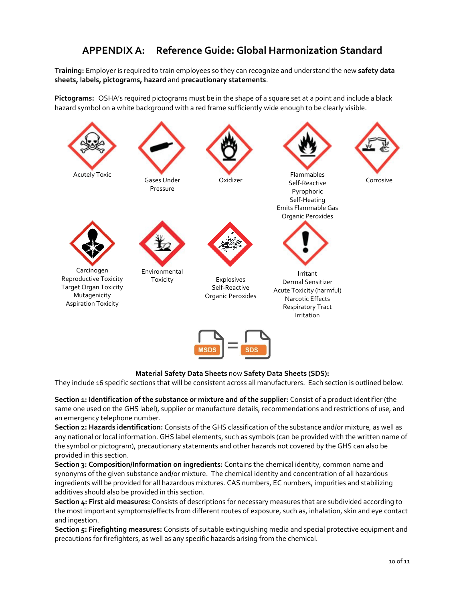# **APPENDIX A: Reference Guide: Global Harmonization Standard**

**Training:** Employer is required to train employees so they can recognize and understand the new **safety data sheets, labels, pictograms, hazard** and **precautionary statements**.

**Pictograms:** OSHA's required pictograms must be in the shape of a square set at a point and include a black hazard symbol on a white background with a red frame sufficiently wide enough to be clearly visible.



#### **Material Safety Data Sheets** now **Safety Data Sheets (SDS):**

They include 16 specific sections that will be consistent across all manufacturers. Each section is outlined below.

**Section 1: Identification of the substance or mixture and of the supplier:** Consist of a product identifier (the same one used on the GHS label), supplier or manufacture details, recommendations and restrictions of use, and an emergency telephone number.

**Section 2: Hazards identification:** Consists of the GHS classification of the substance and/or mixture, as well as any national or local information. GHS label elements, such as symbols (can be provided with the written name of the symbol or pictogram), precautionary statements and other hazards not covered by the GHS can also be provided in this section.

**Section 3: Composition/Information on ingredients:** Contains the chemical identity, common name and synonyms of the given substance and/or mixture. The chemical identity and concentration of all hazardous ingredients will be provided for all hazardous mixtures. CAS numbers, EC numbers, impurities and stabilizing additives should also be provided in this section.

**Section 4: First aid measures:** Consists of descriptions for necessary measures that are subdivided according to the most important symptoms/effects from different routes of exposure, such as, inhalation, skin and eye contact and ingestion.

**Section 5: Firefighting measures:** Consists of suitable extinguishing media and special protective equipment and precautions for firefighters, as well as any specific hazards arising from the chemical.